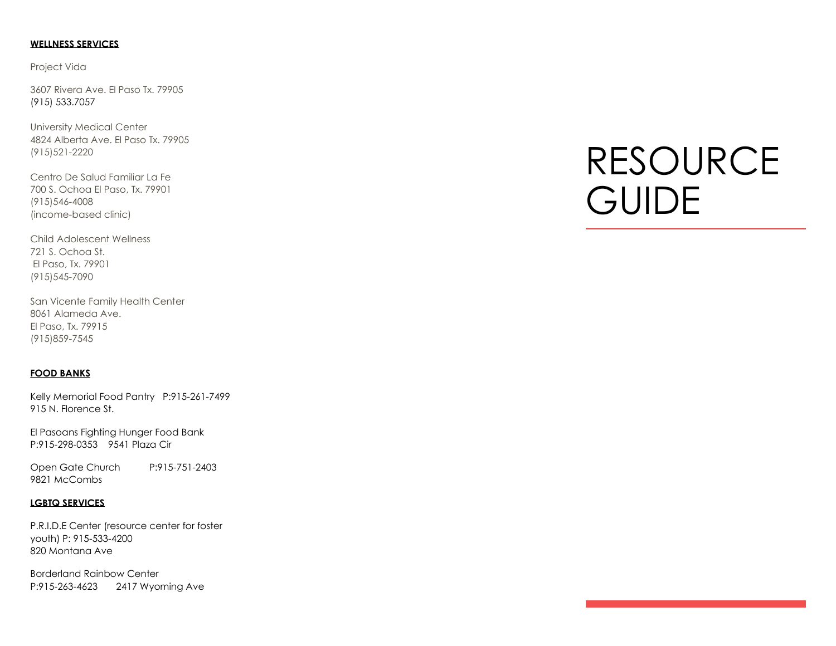# **WELLNESS SERVICES**

Project Vida

3607 Rivera Ave. El Paso Tx. 79905 (915) 533.7057

University Medical Center 4824 Alberta Ave. El Paso Tx. 79905 (915)521-2220

Centro De Salud Familiar La Fe 700 S. Ochoa El Paso, Tx. 79901 (915)546-4008 (income-based clinic)

Child Adolescent Wellness 721 S. Ochoa St. El Paso, Tx. 79901 (915)545-7090

San Vicente Family Health Center 8061 Alameda Ave. El Paso, Tx. 79915 (915)859-7545

## **FOOD BANKS**

Kelly Memorial Food Pantry P:915-261-7499 915 N. Florence St.

El Pasoans Fighting Hunger Food Bank P:915-298-0353 9541 Plaza Cir

Open Gate Church P:915-751-2403 9821 McCombs

# **LGBTQ SERVICES**

P.R.I.D.E Center (resource center for foster youth) P: 915-533-4200 820 Montana Ave

Borderland Rainbow Center P:915-263-4623 2417 Wyoming Ave

# RESOURCE **GUIDE**